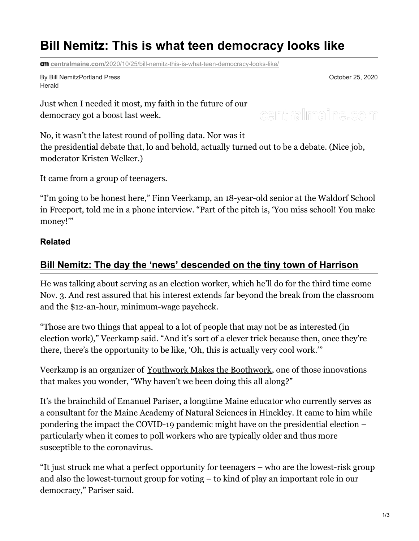# **Bill Nemitz: This is what teen democracy looks like**

**cm** centralmaine.com[/2020/10/25/bill-nemitz-this-is-what-teen-democracy-looks-like/](https://www.centralmaine.com/2020/10/25/bill-nemitz-this-is-what-teen-democracy-looks-like/)

By Bill NemitzPortland Press Herald

October 25, 2020

Just when I needed it most, my faith in the future of our democracy got a boost last week.

centralmaine.com

No, it wasn't the latest round of polling data. Nor was it the presidential debate that, lo and behold, actually turned out to be a debate. (Nice job, moderator Kristen Welker.)

It came from a group of teenagers.

"I'm going to be honest here," Finn Veerkamp, an 18-year-old senior at the Waldorf School in Freeport, told me in a phone interview. "Part of the pitch is, 'You miss school! You make money!'"

#### **Related**

### **Bill Nemitz: The day the 'news' [descended](https://www.pressherald.com/2020/10/14/bill-nemitz-the-day-the-news-descended-on-the-tiny-town-of-harrison/) on the tiny town of Harrison**

He was talking about serving as an election worker, which he'll do for the third time come Nov. 3. And rest assured that his interest extends far beyond the break from the classroom and the \$12-an-hour, minimum-wage paycheck.

"Those are two things that appeal to a lot of people that may not be as interested (in election work)," Veerkamp said. "And it's sort of a clever trick because then, once they're there, there's the opportunity to be like, 'Oh, this is actually very cool work.'"

Veerkamp is an organizer of Youthwork Makes the [Boothwork](https://www.youthworkmakestheboothwork.org/), one of those innovations that makes you wonder, "Why haven't we been doing this all along?"

It's the brainchild of Emanuel Pariser, a longtime Maine educator who currently serves as a consultant for the Maine Academy of Natural Sciences in Hinckley. It came to him while pondering the impact the COVID-19 pandemic might have on the presidential election – particularly when it comes to poll workers who are typically older and thus more susceptible to the coronavirus.

"It just struck me what a perfect opportunity for teenagers – who are the lowest-risk group and also the lowest-turnout group for voting – to kind of play an important role in our democracy," Pariser said.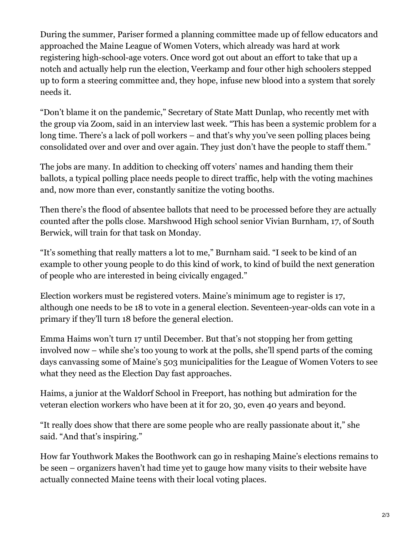During the summer, Pariser formed a planning committee made up of fellow educators and approached the Maine League of Women Voters, which already was hard at work registering high-school-age voters. Once word got out about an effort to take that up a notch and actually help run the election, Veerkamp and four other high schoolers stepped up to form a steering committee and, they hope, infuse new blood into a system that sorely needs it.

"Don't blame it on the pandemic," Secretary of State Matt Dunlap, who recently met with the group via Zoom, said in an interview last week. "This has been a systemic problem for a long time. There's a lack of poll workers – and that's why you've seen polling places being consolidated over and over and over again. They just don't have the people to staff them."

The jobs are many. In addition to checking off voters' names and handing them their ballots, a typical polling place needs people to direct traffic, help with the voting machines and, now more than ever, constantly sanitize the voting booths.

Then there's the flood of absentee ballots that need to be processed before they are actually counted after the polls close. Marshwood High school senior Vivian Burnham, 17, of South Berwick, will train for that task on Monday.

"It's something that really matters a lot to me," Burnham said. "I seek to be kind of an example to other young people to do this kind of work, to kind of build the next generation of people who are interested in being civically engaged."

Election workers must be registered voters. Maine's minimum age to register is 17, although one needs to be 18 to vote in a general election. Seventeen-year-olds can vote in a primary if they'll turn 18 before the general election.

Emma Haims won't turn 17 until December. But that's not stopping her from getting involved now – while she's too young to work at the polls, she'll spend parts of the coming days canvassing some of Maine's 503 municipalities for the League of Women Voters to see what they need as the Election Day fast approaches.

Haims, a junior at the Waldorf School in Freeport, has nothing but admiration for the veteran election workers who have been at it for 20, 30, even 40 years and beyond.

"It really does show that there are some people who are really passionate about it," she said. "And that's inspiring."

How far Youthwork Makes the Boothwork can go in reshaping Maine's elections remains to be seen – organizers haven't had time yet to gauge how many visits to their website have actually connected Maine teens with their local voting places.